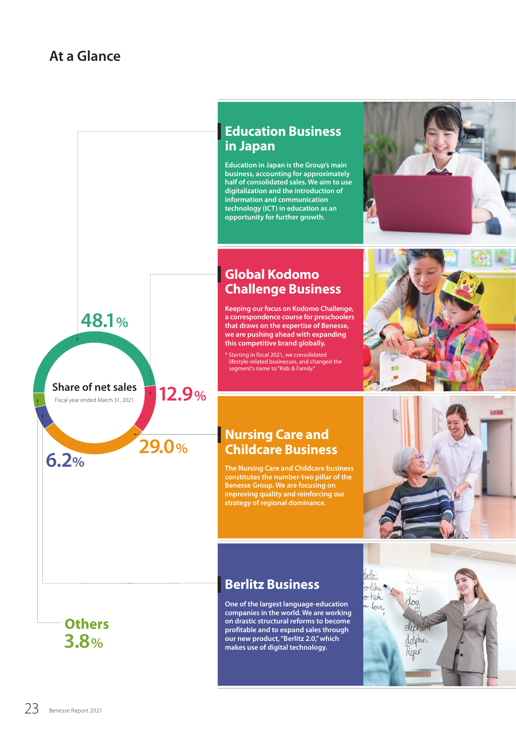**48.1%**

**Share of net sales** Fiscal year ended March 31, 2021

**29.0% 6.2%**

**12.9%**



**Education in Japan is the Group's main business, accounting for approximately half of consolidated sales. We aim to use digitalization and the introduction of information and communication technology (ICT) in education as an opportunity for further growth.**

# **Global Kodomo Challenge Business**

**Keeping our focus on Kodomo Challenge, a correspondence course for preschoolers that draws on the expertise of Benesse, we are pushing ahead with expanding this competitive brand globally.**

\* Starting in fiscal 2021, we consolidated lifestyle-related businesses, and changed the segment's name to "Kids & Family."



# **Nursing Care and Childcare Business**

**The Nursing Care and Childcare business constitutes the number-two pillar of the Benesse Group. We are focusing on improving quality and reinforcing our strategy of regional dominance.**



lerlaolike  $\sigma$  hate a love

# **Berlitz Business**

**3.8%** (3.1) (3.1) (3.1) (3.1) (3.1) (3.1) (3.1) (3.1) (3.1) (3.1) (3.1) (3.1) (3.1) (3.1) (3.1) (3.1) (3.1) (3.1) (3.1) (3.1) (3.1) (3.1) (3.1) (3.1) (3.1) (3.1) (3.1) (3.1) (3.1) (3.1) (3.1) (3.1) (3.1) (3.1) (3.1) (3.1) **One of the largest language-education companies in the world. We are working on drastic structural reforms to become profitable and to expand sales through our new product, "Berlitz 2.0," which makes use of digital technology.**

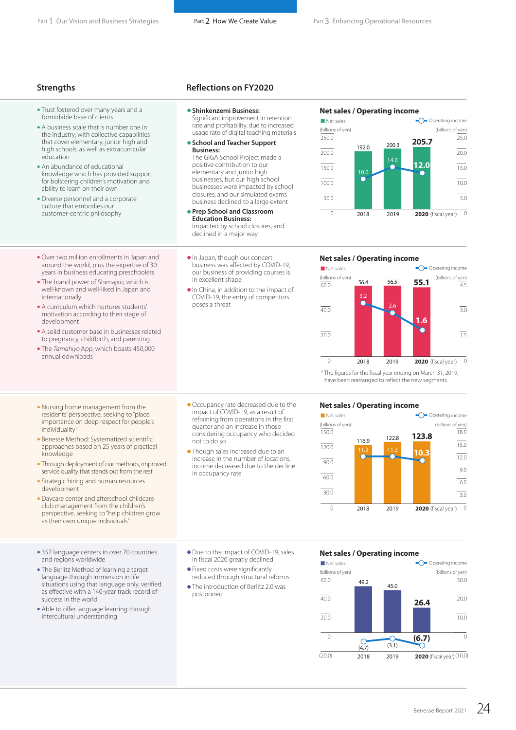- Trust fostered over many years and a formidable base of clients
- A business scale that is number one in the industry, with collective capabilities that cover elementary, junior high and high schools, as well as extracurricular education
- An abundance of educational knowledge which has provided support for bolstering children's motivation and ability to learn on their own

• Over two million enrollments in Japan and around the world, plus the expertise of 30 years in business educating preschoolers • The brand power of Shimajiro, which is well-known and well-liked in Japan and

• A curriculum which nurtures students' motivation according to their stage of

• A solid customer base in businesses related to pregnancy, childbirth, and parenting • The *Tamahiyo* App, which boasts 450,000

• Diverse personnel and a corporate culture that embodies our customer-centric philosophy

internationally

development

annual downloads

#### **Strengths Reflections on FY2020**

- **Shinkenzemi Business:** Significant improvement in retention rate and profitability, due to increased usage rate of digital teaching materials
- **School and Teacher Support Business:** The GIGA School Project made a positive contribution to our

elementary and junior high businesses, but our high school businesses were impacted by school closures, and our simulated exams business declined to a large extent

- **Prep School and Classroom Education Business:** Impacted by school closures, and declined in a major way
- In Japan, though our concert business was affected by COVID-19, our business of providing courses is in excellent shape
- In China, in addition to the impact of COVID-19, the entry of competitors poses a threat





#### **Net sales / Operating income**



\* The figures for the fiscal year ending on March 31, 2019, have been rearranged to reflect the new segments.

#### **Net sales / Operating income**



- Nursing home management from the residents' perspective, seeking to "place importance on deep respect for people's individuality
- Benesse Method: Systematized scientific approaches based on 25 years of practical knowledge
- Through deployment of our methods, improved service quality that stands out from the rest
- Strategic hiring and human resources development
- Daycare center and afterschool childcare club management from the children's perspective, seeking to "help children grow as their own unique individuals"
- 357 language centers in over 70 countries and regions worldwide
- The Berlitz Method of learning a target language through immersion in life situations using that language only, verified as effective with a 140-year track record of success in the world
- Able to offer language learning through intercultural understanding
- Due to the impact of COVID-19, sales in fiscal 2020 greatly declined
- Fixed costs were significantly reduced through structural reforms
- The introduction of Berlitz 2.0 was postponed

#### **Net sales / Operating income**



- Occupancy rate decreased due to the impact of COVID-19, as a result of refraining from operations in the first quarter and an increase in those considering occupancy who decided not to do so
	- Though sales increased due to an increase in the number of locations, income decreased due to the decline in occupancy rate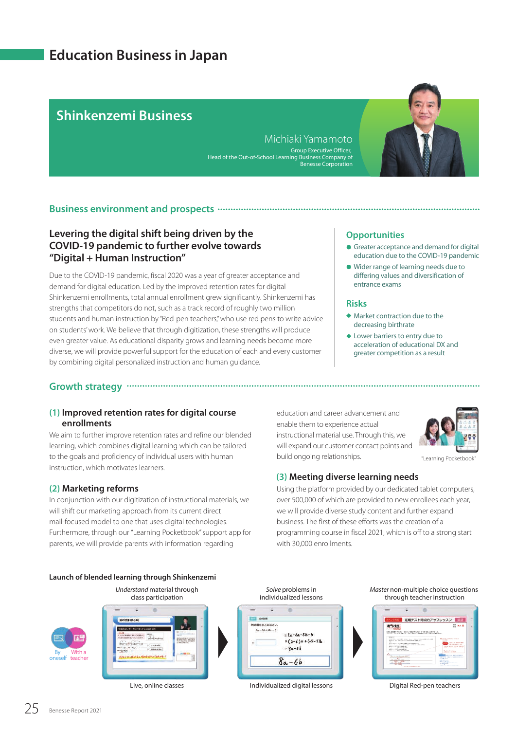# **Education Business in Japan**

# **Shinkenzemi Business School & Teacher Support Business**

Michiaki Yamamoto Group Executive Officer, Head of the Out-of-School Learning Business Company of Benesse Corporation



## **Business environment and prospects**

# **Levering the digital shift being driven by the COVID-19 pandemic to further evolve towards "Digital + Human Instruction"**

Due to the COVID-19 pandemic, fiscal 2020 was a year of greater acceptance and demand for digital education. Led by the improved retention rates for digital Shinkenzemi enrollments, total annual enrollment grew significantly. Shinkenzemi has strengths that competitors do not, such as a track record of roughly two million students and human instruction by "Red-pen teachers," who use red pens to write advice on students' work. We believe that through digitization, these strengths will produce even greater value. As educational disparity grows and learning needs become more diverse, we will provide powerful support for the education of each and every customer by combining digital personalized instruction and human guidance.

## **Opportunities**

- Greater acceptance and demand for digital education due to the COVID-19 pandemic
- Wider range of learning needs due to differing values and diversification of entrance exams

#### **Risks**

- Market contraction due to the decreasing birthrate
- ◆ Lower barriers to entry due to acceleration of educational DX and greater competition as a result

# **Growth strategy**

## **(1) Improved retention rates for digital course enrollments**

We aim to further improve retention rates and refine our blended learning, which combines digital learning which can be tailored to the goals and proficiency of individual users with human instruction, which motivates learners.

## **(2) Marketing reforms**

In conjunction with our digitization of instructional materials, we will shift our marketing approach from its current direct mail-focused model to one that uses digital technologies. Furthermore, through our "Learning Pocketbook" support app for parents, we will provide parents with information regarding

education and career advancement and enable them to experience actual instructional material use. Through this, we will expand our customer contact points and build ongoing relationships.



"Learning Pocketbook"

## **(3) Meeting diverse learning needs**

Using the platform provided by our dedicated tablet computers, over 500,000 of which are provided to new enrollees each year, we will provide diverse study content and further expand business. The first of these efforts was the creation of a programming course in fiscal 2021, which is off to a strong start with 30,000 enrollments.



Live, online classes

Individualized digital lessons Digital Red-pen teachers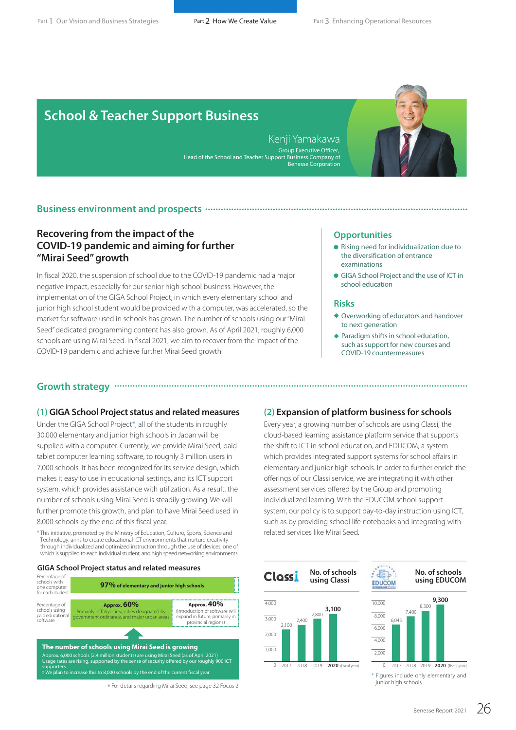# **School & Teacher Support Business**

Kenji Yamakawa Group Executive Officer, Head of the School and Teacher Support Business Company of Benesse Corporation



## **Business environment and prospects**

# **Recovering from the impact of the COVID-19 pandemic and aiming for further "Mirai Seed" growth**

In fiscal 2020, the suspension of school due to the COVID-19 pandemic had a major negative impact, especially for our senior high school business. However, the implementation of the GIGA School Project, in which every elementary school and junior high school student would be provided with a computer, was accelerated, so the market for software used in schools has grown. The number of schools using our "Mirai Seed" dedicated programming content has also grown. As of April 2021, roughly 6,000 schools are using Mirai Seed. In fiscal 2021, we aim to recover from the impact of the COVID-19 pandemic and achieve further Mirai Seed growth.

#### **Opportunities**

- Rising need for individualization due to the diversification of entrance examinations
- GIGA School Project and the use of ICT in school education

#### **Risks**

- Overworking of educators and handover to next generation
- ◆ Paradigm shifts in school education, such as support for new courses and COVID-19 countermeasures

# **Growth strategy**

#### **(1) GIGA School Project status and related measures (2) Expansion of platform business for schools**

Under the GIGA School Project\*, all of the students in roughly 30,000 elementary and junior high schools in Japan will be supplied with a computer. Currently, we provide Mirai Seed, paid tablet computer learning software, to roughly 3 million users in 7,000 schools. It has been recognized for its service design, which makes it easy to use in educational settings, and its ICT support system, which provides assistance with utilization. As a result, the number of schools using Mirai Seed is steadily growing. We will further promote this growth, and plan to have Mirai Seed used in 8,000 schools by the end of this fiscal year.

\* This initiative, promoted by the Ministry of Education, Culture, Sports, Science and Technology, aims to create educational ICT environments that nurture creativity through individualized and optimized instruction through the use of devices, one of which is supplied to each individual student, and high speed networking environments.

#### **GIGA School Project status and related measures**



» For details regarding Mirai Seed, see page 32 Focus 2

Every year, a growing number of schools are using Classi, the cloud-based learning assistance platform service that supports the shift to ICT in school education, and EDUCOM, a system which provides integrated support systems for school affairs in elementary and junior high schools. In order to further enrich the offerings of our Classi service, we are integrating it with other assessment services offered by the Group and promoting individualized learning. With the EDUCOM school support system, our policy is to support day-to-day instruction using ICT, such as by providing school life notebooks and integrating with related services like Mirai Seed.





2017 2018 2019 **2020** (fiscal year)

2,000

\* Figures include only elementary and junior high schools.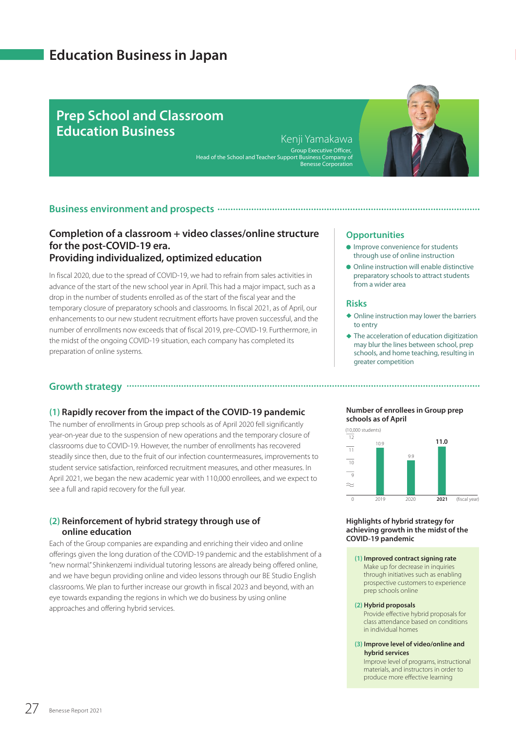# **Education Business in Japan**

# **Prep School and Classroom Education Business**

#### Kenji Yamakawa Group Executive Officer, Head of the School and Teacher Support Business Company of Benesse Corporation

**Growth strategy**



# **Completion of a classroom + video classes/online structure for the post-COVID-19 era. Providing individualized, optimized education**

In fiscal 2020, due to the spread of COVID-19, we had to refrain from sales activities in advance of the start of the new school year in April. This had a major impact, such as a drop in the number of students enrolled as of the start of the fiscal year and the temporary closure of preparatory schools and classrooms. In fiscal 2021, as of April, our enhancements to our new student recruitment efforts have proven successful, and the number of enrollments now exceeds that of fiscal 2019, pre-COVID-19. Furthermore, in the midst of the ongoing COVID-19 situation, each company has completed its preparation of online systems.

# **(1) Rapidly recover from the impact of the COVID-19 pandemic**

The number of enrollments in Group prep schools as of April 2020 fell significantly year-on-year due to the suspension of new operations and the temporary closure of classrooms due to COVID-19. However, the number of enrollments has recovered steadily since then, due to the fruit of our infection countermeasures, improvements to student service satisfaction, reinforced recruitment measures, and other measures. In April 2021, we began the new academic year with 110,000 enrollees, and we expect to see a full and rapid recovery for the full year.

## **(2) Reinforcement of hybrid strategy through use of online education**

Each of the Group companies are expanding and enriching their video and online offerings given the long duration of the COVID-19 pandemic and the establishment of a "new normal." Shinkenzemi individual tutoring lessons are already being offered online, and we have begun providing online and video lessons through our BE Studio English classrooms. We plan to further increase our growth in fiscal 2023 and beyond, with an eye towards expanding the regions in which we do business by using online approaches and offering hybrid services.

#### **Opportunities**

- **Improve convenience for students** through use of online instruction
- Online instruction will enable distinctive preparatory schools to attract students from a wider area

#### **Risks**

- Online instruction may lower the barriers to entry
- The acceleration of education digitization may blur the lines between school, prep schools, and home teaching, resulting in greater competition

#### **Number of enrollees in Group prep schools as of April**



#### **Highlights of hybrid strategy for achieving growth in the midst of the COVID-19 pandemic**

#### **(1) Improved contract signing rate**

Make up for decrease in inquiries through initiatives such as enabling prospective customers to experience prep schools online

#### **(2) Hybrid proposals**

Provide effective hybrid proposals for class attendance based on conditions in individual homes

#### **(3) Improve level of video/online and hybrid services**

Improve level of programs, instructional materials, and instructors in order to produce more effective learning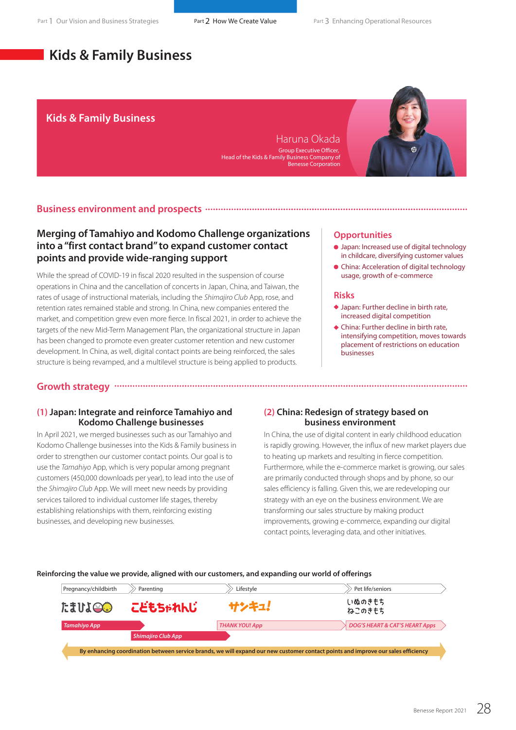# **Kids & Family Business**

## **Kids & Family Business**

Haruna Okada Group Executive Officer, Head of the Kids & Family Business Company of Benesse Corporation



## **Business environment and prospects**

# **Merging of Tamahiyo and Kodomo Challenge organizations into a "first contact brand" to expand customer contact points and provide wide-ranging support**

While the spread of COVID-19 in fiscal 2020 resulted in the suspension of course operations in China and the cancellation of concerts in Japan, China, and Taiwan, the rates of usage of instructional materials, including the *Shimajiro Club* App, rose, and retention rates remained stable and strong. In China, new companies entered the market, and competition grew even more fierce. In fiscal 2021, in order to achieve the targets of the new Mid-Term Management Plan, the organizational structure in Japan has been changed to promote even greater customer retention and new customer development. In China, as well, digital contact points are being reinforced, the sales structure is being revamped, and a multilevel structure is being applied to products.

#### **Opportunities**

- Japan: Increased use of digital technology in childcare, diversifying customer values
- China: Acceleration of digital technology usage, growth of e-commerce

#### **Risks**

- ◆ Japan: Further decline in birth rate, increased digital competition
- China: Further decline in birth rate, intensifying competition, moves towards placement of restrictions on education businesses

# **Growth strategy**

#### **(1) Japan: Integrate and reinforce Tamahiyo and Kodomo Challenge businesses**

In April 2021, we merged businesses such as our Tamahiyo and Kodomo Challenge businesses into the Kids & Family business in order to strengthen our customer contact points. Our goal is to use the *Tamahiyo* App, which is very popular among pregnant customers (450,000 downloads per year), to lead into the use of the *Shimajiro Club* App. We will meet new needs by providing services tailored to individual customer life stages, thereby establishing relationships with them, reinforcing existing businesses, and developing new businesses.

## **(2) China: Redesign of strategy based on business environment**

In China, the use of digital content in early childhood education is rapidly growing. However, the influx of new market players due to heating up markets and resulting in fierce competition. Furthermore, while the e-commerce market is growing, our sales are primarily conducted through shops and by phone, so our sales efficiency is falling. Given this, we are redeveloping our strategy with an eye on the business environment. We are transforming our sales structure by making product improvements, growing e-commerce, expanding our digital contact points, leveraging data, and other initiatives.

#### **Reinforcing the value we provide, aligned with our customers, and expanding our world of offerings**

| Pregnancy/childbirth                                                                                                              | Parenting                 | Lifestyle             | Pet life/seniors                          |
|-----------------------------------------------------------------------------------------------------------------------------------|---------------------------|-----------------------|-------------------------------------------|
| <b>COTTLE</b>                                                                                                                     | こどもちゃれんじ                  | サンキュ!                 | いぬのきもち<br>ねこのきもち                          |
| <b>Tamahiyo App</b>                                                                                                               |                           | <b>THANK YOU! App</b> | <b>DOG'S HEART &amp; CAT'S HEART Apps</b> |
|                                                                                                                                   | <b>Shimajiro Club App</b> |                       |                                           |
| By enhancing coordination between service brands, we will expand our new customer contact points and improve our sales efficiency |                           |                       |                                           |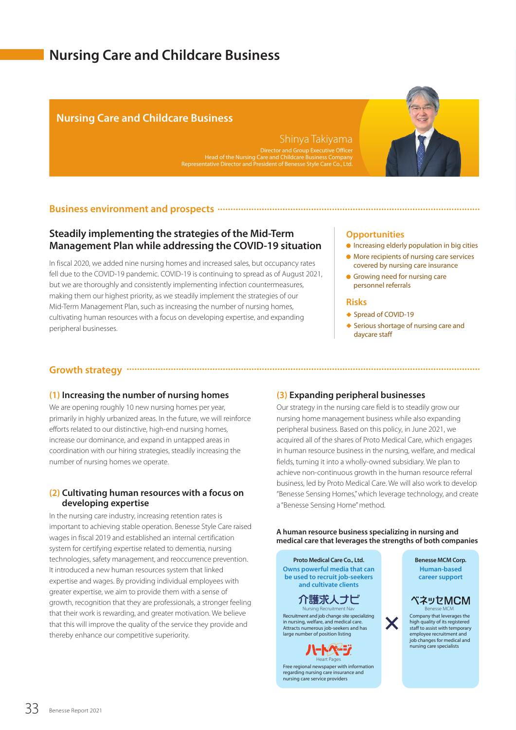# **Nursing Care and Childcare Business**

# **Nursing Care and Childcare Business**

# Shinya Takiyama

Head of the Nursing Care and Childcare Business Company Representative Director and President of Benesse Style Care Co., Ltd.

## **Business environment and prospects**

# **Steadily implementing the strategies of the Mid-Term Management Plan while addressing the COVID-19 situation**

In fiscal 2020, we added nine nursing homes and increased sales, but occupancy rates fell due to the COVID-19 pandemic. COVID-19 is continuing to spread as of August 2021, but we are thoroughly and consistently implementing infection countermeasures, making them our highest priority, as we steadily implement the strategies of our Mid-Term Management Plan, such as increasing the number of nursing homes, cultivating human resources with a focus on developing expertise, and expanding peripheral businesses.

## **Opportunities**

- $\bullet$  Increasing elderly population in big cities
- More recipients of nursing care services covered by nursing care insurance
- Growing need for nursing care personnel referrals

#### **Risks**

- ◆ Spread of COVID-19
- ◆ Serious shortage of nursing care and daycare staff

## **Growth strategy**

## **(1) Increasing the number of nursing homes**

We are opening roughly 10 new nursing homes per year, primarily in highly urbanized areas. In the future, we will reinforce efforts related to our distinctive, high-end nursing homes, increase our dominance, and expand in untapped areas in coordination with our hiring strategies, steadily increasing the number of nursing homes we operate.

## **(2) Cultivating human resources with a focus on developing expertise**

In the nursing care industry, increasing retention rates is important to achieving stable operation. Benesse Style Care raised wages in fiscal 2019 and established an internal certification system for certifying expertise related to dementia, nursing technologies, safety management, and reoccurrence prevention. It introduced a new human resources system that linked expertise and wages. By providing individual employees with greater expertise, we aim to provide them with a sense of growth, recognition that they are professionals, a stronger feeling that their work is rewarding, and greater motivation. We believe that this will improve the quality of the service they provide and thereby enhance our competitive superiority.

# **(3) Expanding peripheral businesses**

Our strategy in the nursing care field is to steadily grow our nursing home management business while also expanding peripheral business. Based on this policy, in June 2021, we acquired all of the shares of Proto Medical Care, which engages in human resource business in the nursing, welfare, and medical fields, turning it into a wholly-owned subsidiary. We plan to achieve non-continuous growth in the human resource referral business, led by Proto Medical Care. We will also work to develop "Benesse Sensing Homes," which leverage technology, and create a "Benesse Sensing Home" method.

**A human resource business specializing in nursing and medical care that leverages the strengths of both companies**

X

**Owns powerful media that can be used to recruit job-seekers and cultivate clients Proto Medical Care Co., Ltd. Benesse MCM Corp.** 

# 介護求人ナビ

Recruitment and job change site specializing in nursing, welfare, and medical care. Attracts numerous job-seekers and has large number of position listing Nursing Recruitment Nav

> **HAR-5** Heart Page

Free regional newspaper with information regarding nursing care insurance and nursing care service providers

# ベネッセMCM

Company that leverages the high quality of its registered staff to assist with temporary employee recruitment and job changes for medical and nursing care specialists